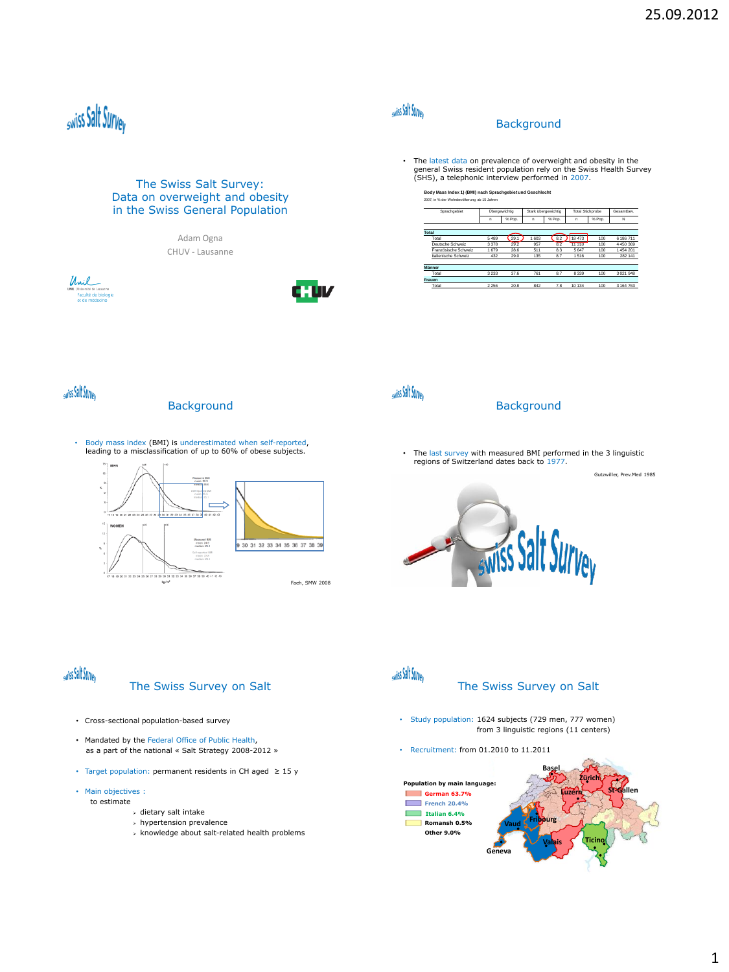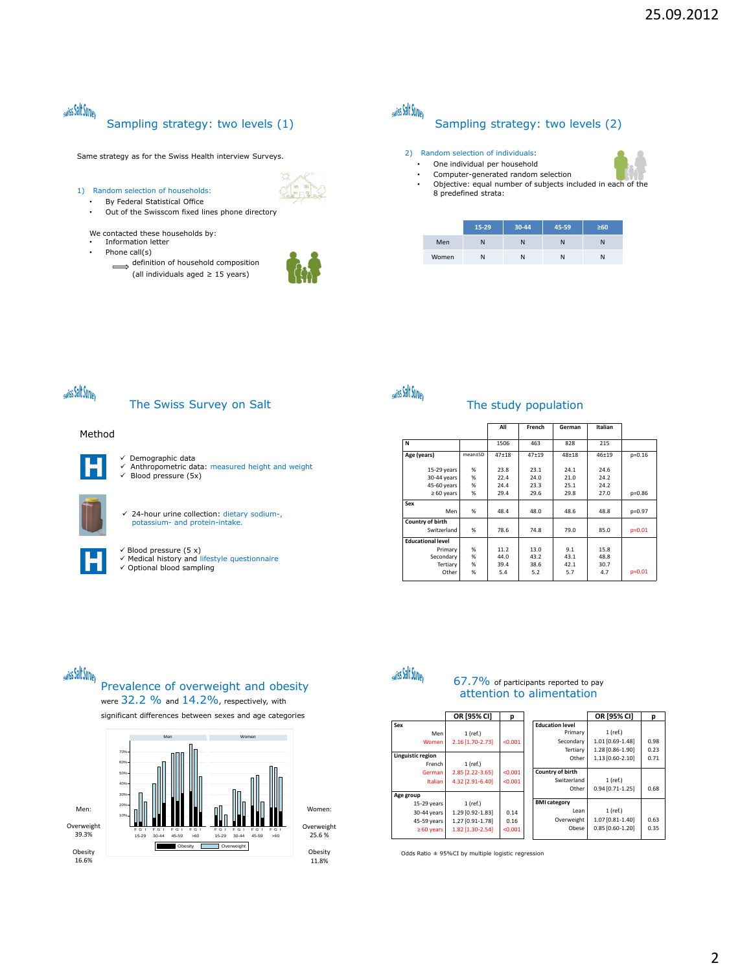## swiss Salt Survey Sampling strategy: two levels (1)

Same strategy as for the Swiss Health interview Surveys.

1) Random selection of households:

- By Federal Statistical Office<br>• Out of the Swisscom fixed li
- Out of the Swisscom fixed lines phone directory

We contacted these households by:

- Information letter • Phone call(s)
	- $\iff$  definition of household composition (all individuals aged ≥ 15 years)



# swiss Salt Survey

### Sampling strategy: two levels (2)

#### 2) Random selection of individuals:

- One individual per household
- Computer-generated random selection
- Objective: equal number of subjects included in each of the 8 predefined strata:

|       | 15-29 | 30-44 | 45-59 | $\geq 60$ |
|-------|-------|-------|-------|-----------|
| Men   | Ν     | N     | N     | N         |
| Women | Ν     | N     | N     | Ν         |

# swiss Salt Survey

The Swiss Survey on Salt

#### Method



 Demographic data Anthropometric data: measured height and weight Blood pressure (5x)

 $\checkmark$  24-hour urine collection: dietary sodium-, potassium- and protein-intake.

 $\checkmark$  Blood pressure (5 x)  $\overline{M}$  Medical history and lifestyle questionnaire

|  | ricated: inster f and mest field description |  |
|--|----------------------------------------------|--|
|  | √ Optional blood sampling                    |  |

| swiss Salt Survey |  |
|-------------------|--|
|                   |  |

#### The study population

|                          |         | All       | French    | German    | Italian   |          |
|--------------------------|---------|-----------|-----------|-----------|-----------|----------|
| N                        |         | 1506      | 463       | 828       | 215       |          |
| Age (years)              | mean±SD | $47 + 18$ | $47 + 19$ | $48 + 18$ | $46 + 19$ | $p=0.16$ |
| $15-29$ years            | %       | 23.8      | 23.1      | 24.1      | 24.6      |          |
| $30-44$ years            | %       | 22.4      | 24.0      | 21.0      | 24.2      |          |
| 45-60 years              | %       | 24.4      | 23.3      | 25.1      | 24.2      |          |
| $\geq 60$ years          | %       | 29.4      | 29.6      | 29.8      | 27.0      | $p=0.86$ |
| Sex                      |         |           |           |           |           |          |
| Men                      | %       | 48.4      | 48.0      | 48.6      | 48.8      | p=0.97   |
| Country of birth         |         |           |           |           |           |          |
| Switzerland              | %       | 78.6      | 74.8      | 79.0      | 85.0      | $p=0.01$ |
| <b>Educational level</b> |         |           |           |           |           |          |
| Primary                  | %       | 11.2      | 13.0      | 9.1       | 15.8      |          |
| Secondary                | %       | 44.0      | 43.2      | 43.1      | 48.8      |          |
| Tertiary                 | %       | 39.4      | 38.6      | 42.1      | 30.7      |          |
| Other                    | %       | 5.4       | 5.2       | 5.7       | 4.7       | $p=0.01$ |

# swiss Salt Survey

### Prevalence of overweight and obesity were 32.2 % and 14.2%, respectively, with

significant differences between sexes and age categories





### 67.7% of participants reported to pay attention to alimentation

|                   | OR [95% CI]      | р       |                        | OR [95% CI]      | р    |
|-------------------|------------------|---------|------------------------|------------------|------|
| Sex               |                  |         | <b>Education level</b> |                  |      |
| Men               | 1 (ref.)         |         | Primary                | 1 (ref.)         |      |
| Women             | 2.16 [1.70-2.73] | < 0.001 | Secondary              | 1.01 [0.69-1.48] | 0.98 |
|                   |                  |         | Tertiary               | 1.28 [0.86-1.90] | 0.23 |
| Linguistic region |                  |         | Other                  | 1.13 [0.60-2.10] | 0.71 |
| French            | $1$ (ref.)       |         |                        |                  |      |
| German            | 2.85 [2.22-3.65] | < 0.001 | Country of birth       |                  |      |
| <b>Italian</b>    | 4.32 [2.91-6.40] | < 0.001 | Switzerland            | 1 (ref.)         |      |
|                   |                  |         | Other                  | 0.94 [0.71-1.25] | 0.68 |
| Age group         |                  |         |                        |                  |      |
| $15-29$ years     | 1 (ref.)         |         | <b>BMI</b> category    |                  |      |
| 30-44 years       | 1.29 [0.92-1.83] | 0.14    | Lean                   | 1 (ref.)         |      |
| 45-59 years       | 1.27 [0.91-1.78] | 0.16    | Overweight             | 1.07 [0.81-1.40] | 0.63 |
| $\geq 60$ years   | 1.82 [1.30-2.54] | < 0.001 | Obese                  | 0.85 [0.60-1.20] | 0.35 |
|                   |                  |         |                        |                  |      |

Odds Ratio ± 95%CI by multiple logistic regression